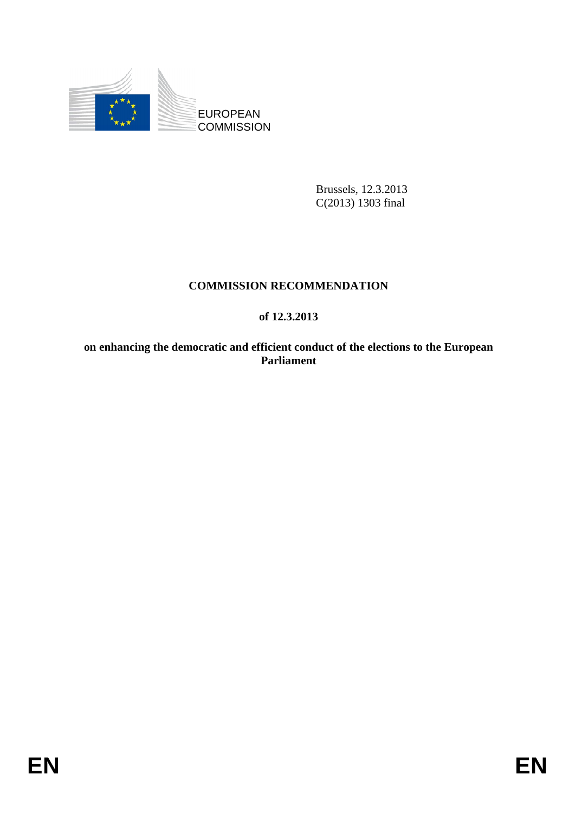

Brussels, 12.3.2013 C(2013) 1303 final

# **COMMISSION RECOMMENDATION**

## **of 12.3.2013**

**on enhancing the democratic and efficient conduct of the elections to the European Parliament**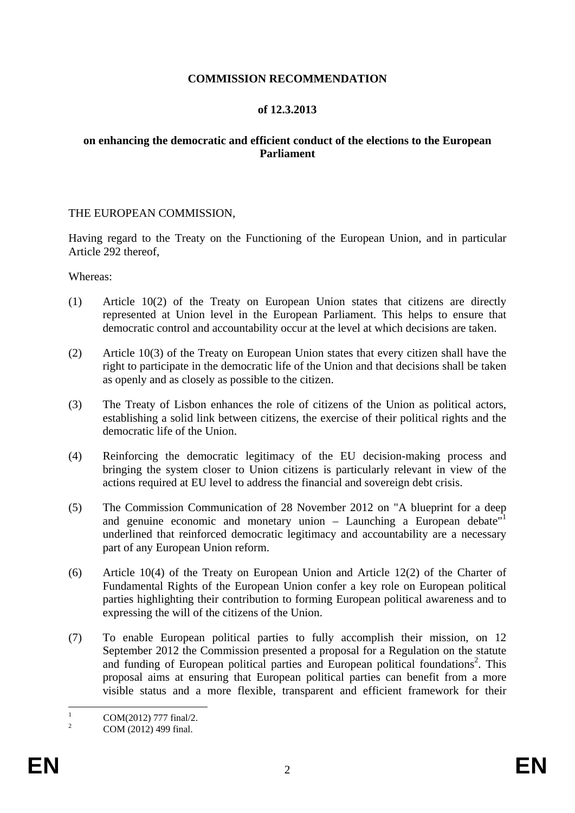#### **COMMISSION RECOMMENDATION**

#### **of 12.3.2013**

#### **on enhancing the democratic and efficient conduct of the elections to the European Parliament**

#### THE EUROPEAN COMMISSION,

Having regard to the Treaty on the Functioning of the European Union, and in particular Article 292 thereof,

Whereas:

- (1) Article 10(2) of the Treaty on European Union states that citizens are directly represented at Union level in the European Parliament. This helps to ensure that democratic control and accountability occur at the level at which decisions are taken.
- (2) Article 10(3) of the Treaty on European Union states that every citizen shall have the right to participate in the democratic life of the Union and that decisions shall be taken as openly and as closely as possible to the citizen.
- (3) The Treaty of Lisbon enhances the role of citizens of the Union as political actors, establishing a solid link between citizens, the exercise of their political rights and the democratic life of the Union.
- (4) Reinforcing the democratic legitimacy of the EU decision-making process and bringing the system closer to Union citizens is particularly relevant in view of the actions required at EU level to address the financial and sovereign debt crisis.
- (5) The Commission Communication of 28 November 2012 on "A blueprint for a deep and genuine economic and monetary union  $-$  Launching a European debate<sup> $1$ </sup> underlined that reinforced democratic legitimacy and accountability are a necessary part of any European Union reform.
- (6) Article 10(4) of the Treaty on European Union and Article 12(2) of the Charter of Fundamental Rights of the European Union confer a key role on European political parties highlighting their contribution to forming European political awareness and to expressing the will of the citizens of the Union.
- (7) To enable European political parties to fully accomplish their mission, on 12 September 2012 the Commission presented a proposal for a Regulation on the statute and funding of European political parties and European political foundations<sup>2</sup>. This proposal aims at ensuring that European political parties can benefit from a more visible status and a more flexible, transparent and efficient framework for their

 $\frac{1}{1}$ COM(2012) 777 final/2.

<sup>2</sup> COM (2012) 499 final.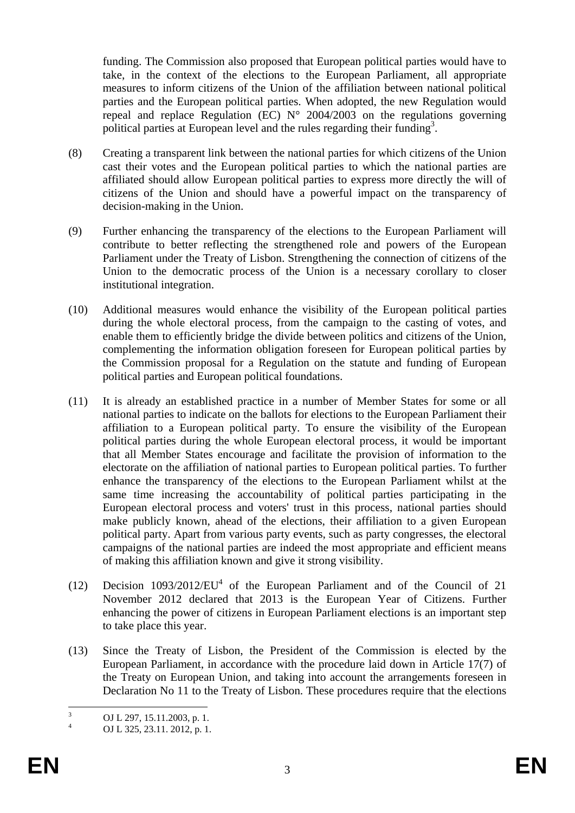funding. The Commission also proposed that European political parties would have to take, in the context of the elections to the European Parliament, all appropriate measures to inform citizens of the Union of the affiliation between national political parties and the European political parties. When adopted, the new Regulation would repeal and replace Regulation (EC)  $N^{\circ}$  2004/2003 on the regulations governing political parties at European level and the rules regarding their funding<sup>3</sup>.

- (8) Creating a transparent link between the national parties for which citizens of the Union cast their votes and the European political parties to which the national parties are affiliated should allow European political parties to express more directly the will of citizens of the Union and should have a powerful impact on the transparency of decision-making in the Union.
- (9) Further enhancing the transparency of the elections to the European Parliament will contribute to better reflecting the strengthened role and powers of the European Parliament under the Treaty of Lisbon. Strengthening the connection of citizens of the Union to the democratic process of the Union is a necessary corollary to closer institutional integration.
- (10) Additional measures would enhance the visibility of the European political parties during the whole electoral process, from the campaign to the casting of votes, and enable them to efficiently bridge the divide between politics and citizens of the Union, complementing the information obligation foreseen for European political parties by the Commission proposal for a Regulation on the statute and funding of European political parties and European political foundations.
- (11) It is already an established practice in a number of Member States for some or all national parties to indicate on the ballots for elections to the European Parliament their affiliation to a European political party. To ensure the visibility of the European political parties during the whole European electoral process, it would be important that all Member States encourage and facilitate the provision of information to the electorate on the affiliation of national parties to European political parties. To further enhance the transparency of the elections to the European Parliament whilst at the same time increasing the accountability of political parties participating in the European electoral process and voters' trust in this process, national parties should make publicly known, ahead of the elections, their affiliation to a given European political party. Apart from various party events, such as party congresses, the electoral campaigns of the national parties are indeed the most appropriate and efficient means of making this affiliation known and give it strong visibility.
- (12) Decision  $1093/2012/EU<sup>4</sup>$  of the European Parliament and of the Council of 21 November 2012 declared that 2013 is the European Year of Citizens. Further enhancing the power of citizens in European Parliament elections is an important step to take place this year.
- (13) Since the Treaty of Lisbon, the President of the Commission is elected by the European Parliament, in accordance with the procedure laid down in Article 17(7) of the Treaty on European Union, and taking into account the arrangements foreseen in Declaration No 11 to the Treaty of Lisbon. These procedures require that the elections

 $\frac{1}{3}$ OJ L 297, 15.11.2003, p. 1.

<sup>4</sup> OJ L 325, 23.11. 2012, p. 1.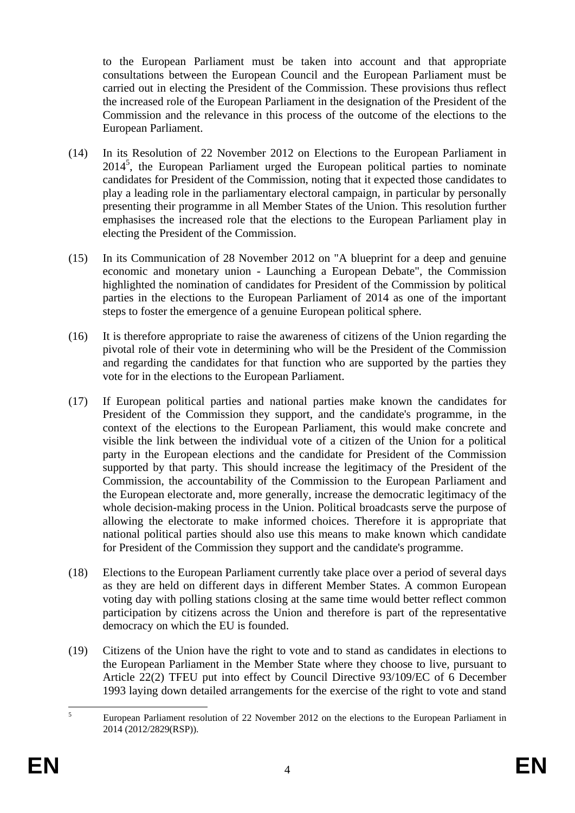to the European Parliament must be taken into account and that appropriate consultations between the European Council and the European Parliament must be carried out in electing the President of the Commission. These provisions thus reflect the increased role of the European Parliament in the designation of the President of the Commission and the relevance in this process of the outcome of the elections to the European Parliament.

- (14) In its Resolution of 22 November 2012 on Elections to the European Parliament in 2014<sup>5</sup>, the European Parliament urged the European political parties to nominate candidates for President of the Commission, noting that it expected those candidates to play a leading role in the parliamentary electoral campaign, in particular by personally presenting their programme in all Member States of the Union. This resolution further emphasises the increased role that the elections to the European Parliament play in electing the President of the Commission.
- (15) In its Communication of 28 November 2012 on "A blueprint for a deep and genuine economic and monetary union - Launching a European Debate", the Commission highlighted the nomination of candidates for President of the Commission by political parties in the elections to the European Parliament of 2014 as one of the important steps to foster the emergence of a genuine European political sphere.
- (16) It is therefore appropriate to raise the awareness of citizens of the Union regarding the pivotal role of their vote in determining who will be the President of the Commission and regarding the candidates for that function who are supported by the parties they vote for in the elections to the European Parliament.
- (17) If European political parties and national parties make known the candidates for President of the Commission they support, and the candidate's programme, in the context of the elections to the European Parliament, this would make concrete and visible the link between the individual vote of a citizen of the Union for a political party in the European elections and the candidate for President of the Commission supported by that party. This should increase the legitimacy of the President of the Commission, the accountability of the Commission to the European Parliament and the European electorate and, more generally, increase the democratic legitimacy of the whole decision-making process in the Union. Political broadcasts serve the purpose of allowing the electorate to make informed choices. Therefore it is appropriate that national political parties should also use this means to make known which candidate for President of the Commission they support and the candidate's programme.
- (18) Elections to the European Parliament currently take place over a period of several days as they are held on different days in different Member States. A common European voting day with polling stations closing at the same time would better reflect common participation by citizens across the Union and therefore is part of the representative democracy on which the EU is founded.
- (19) Citizens of the Union have the right to vote and to stand as candidates in elections to the European Parliament in the Member State where they choose to live, pursuant to Article 22(2) TFEU put into effect by Council Directive 93/109/EC of 6 December 1993 laying down detailed arrangements for the exercise of the right to vote and stand

 $\frac{1}{5}$  European Parliament resolution of 22 November 2012 on the elections to the European Parliament in 2014 (2012/2829(RSP)).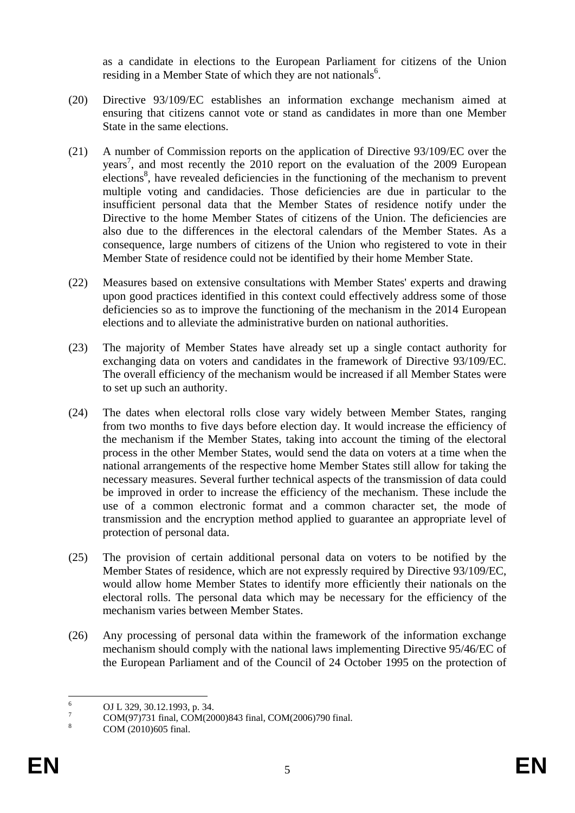as a candidate in elections to the European Parliament for citizens of the Union residing in a Member State of which they are not nationals $6$ .

- (20) Directive 93/109/EC establishes an information exchange mechanism aimed at ensuring that citizens cannot vote or stand as candidates in more than one Member State in the same elections.
- (21) A number of Commission reports on the application of Directive 93/109/EC over the years<sup>7</sup>, and most recently the 2010 report on the evaluation of the 2009 European elections<sup>8</sup>, have revealed deficiencies in the functioning of the mechanism to prevent multiple voting and candidacies. Those deficiencies are due in particular to the insufficient personal data that the Member States of residence notify under the Directive to the home Member States of citizens of the Union. The deficiencies are also due to the differences in the electoral calendars of the Member States. As a consequence, large numbers of citizens of the Union who registered to vote in their Member State of residence could not be identified by their home Member State.
- (22) Measures based on extensive consultations with Member States' experts and drawing upon good practices identified in this context could effectively address some of those deficiencies so as to improve the functioning of the mechanism in the 2014 European elections and to alleviate the administrative burden on national authorities.
- (23) The majority of Member States have already set up a single contact authority for exchanging data on voters and candidates in the framework of Directive 93/109/EC. The overall efficiency of the mechanism would be increased if all Member States were to set up such an authority.
- (24) The dates when electoral rolls close vary widely between Member States, ranging from two months to five days before election day. It would increase the efficiency of the mechanism if the Member States, taking into account the timing of the electoral process in the other Member States, would send the data on voters at a time when the national arrangements of the respective home Member States still allow for taking the necessary measures. Several further technical aspects of the transmission of data could be improved in order to increase the efficiency of the mechanism. These include the use of a common electronic format and a common character set, the mode of transmission and the encryption method applied to guarantee an appropriate level of protection of personal data.
- (25) The provision of certain additional personal data on voters to be notified by the Member States of residence, which are not expressly required by Directive 93/109/EC, would allow home Member States to identify more efficiently their nationals on the electoral rolls. The personal data which may be necessary for the efficiency of the mechanism varies between Member States.
- (26) Any processing of personal data within the framework of the information exchange mechanism should comply with the national laws implementing Directive 95/46/EC of the European Parliament and of the Council of 24 October 1995 on the protection of

 $\frac{1}{6}$ OJ L 329, 30.12.1993, p. 34.

<sup>7</sup> COM(97)731 final, COM(2000)843 final, COM(2006)790 final.

<sup>8</sup> COM (2010)605 final.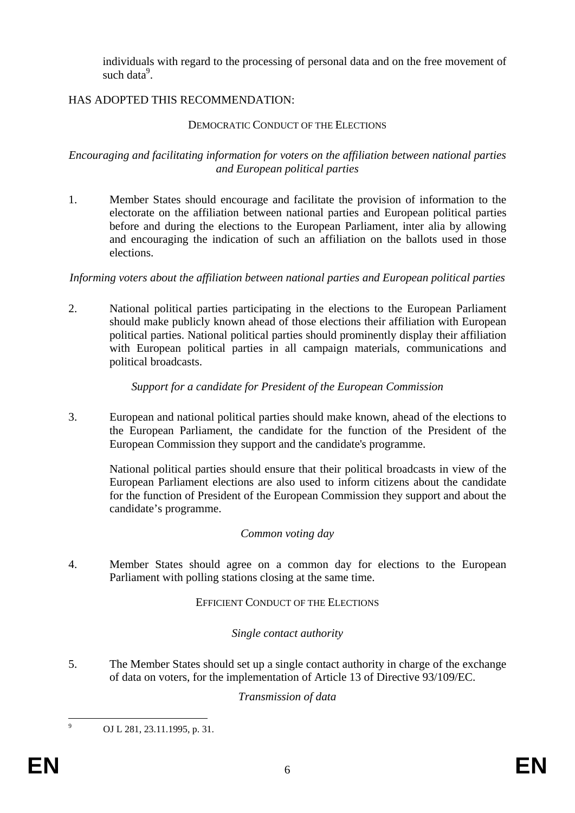individuals with regard to the processing of personal data and on the free movement of such data<sup>9</sup>.

## HAS ADOPTED THIS RECOMMENDATION:

### DEMOCRATIC CONDUCT OF THE ELECTIONS

#### *Encouraging and facilitating information for voters on the affiliation between national parties and European political parties*

1. Member States should encourage and facilitate the provision of information to the electorate on the affiliation between national parties and European political parties before and during the elections to the European Parliament, inter alia by allowing and encouraging the indication of such an affiliation on the ballots used in those elections.

## *Informing voters about the affiliation between national parties and European political parties*

2. National political parties participating in the elections to the European Parliament should make publicly known ahead of those elections their affiliation with European political parties. National political parties should prominently display their affiliation with European political parties in all campaign materials, communications and political broadcasts.

## *Support for a candidate for President of the European Commission*

3. European and national political parties should make known, ahead of the elections to the European Parliament, the candidate for the function of the President of the European Commission they support and the candidate's programme.

National political parties should ensure that their political broadcasts in view of the European Parliament elections are also used to inform citizens about the candidate for the function of President of the European Commission they support and about the candidate's programme.

## *Common voting day*

4. Member States should agree on a common day for elections to the European Parliament with polling stations closing at the same time.

#### EFFICIENT CONDUCT OF THE ELECTIONS

## *Single contact authority*

5. The Member States should set up a single contact authority in charge of the exchange of data on voters, for the implementation of Article 13 of Directive 93/109/EC.

#### *Transmission of data*

-<br>9

OJ L 281, 23.11.1995, p. 31.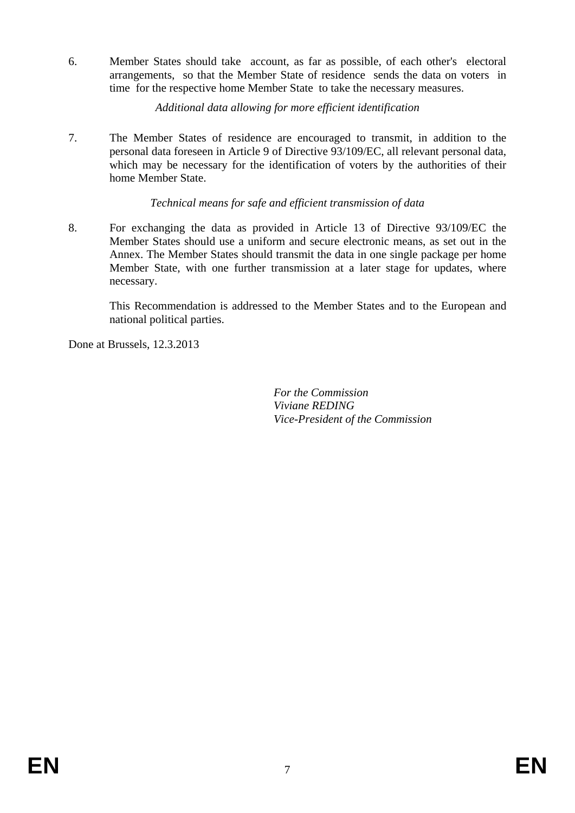6. Member States should take account, as far as possible, of each other's electoral arrangements, so that the Member State of residence sends the data on voters in time for the respective home Member State to take the necessary measures.

*Additional data allowing for more efficient identification*

7. The Member States of residence are encouraged to transmit, in addition to the personal data foreseen in Article 9 of Directive 93/109/EC, all relevant personal data, which may be necessary for the identification of voters by the authorities of their home Member State.

## *Technical means for safe and efficient transmission of data*

8. For exchanging the data as provided in Article 13 of Directive 93/109/EC the Member States should use a uniform and secure electronic means, as set out in the Annex. The Member States should transmit the data in one single package per home Member State, with one further transmission at a later stage for updates, where necessary.

This Recommendation is addressed to the Member States and to the European and national political parties.

Done at Brussels, 12.3.2013

 *For the Commission Viviane REDING Vice-President of the Commission*